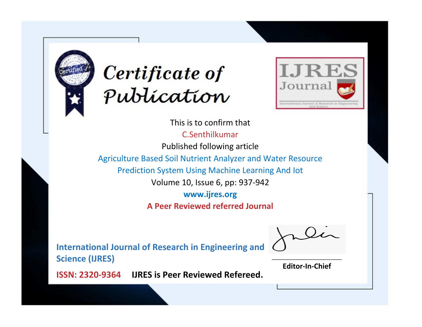



This is to confirm that C.Senthilkumar Published following article Agriculture Based Soil Nutrient Analyzer and Water Resource Prediction System Using Machine Learning And Iot Volume 10, Issue 6, pp: 937-942 **www.ijres.org A Peer Reviewed referred Journal**

**International Journal of Research in Engineering and Science (IJRES)**

\_\_\_\_\_\_\_\_\_\_\_\_\_\_\_\_\_\_\_\_\_\_\_\_ **Editor-In-Chief**

**Journal.**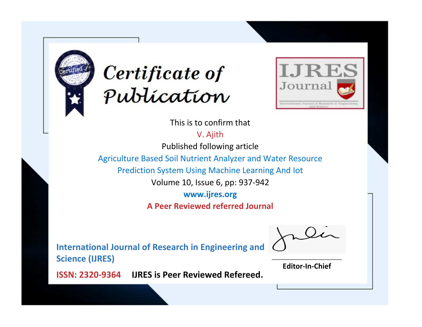



This is to confirm that

V. Ajith

Published following article

Agriculture Based Soil Nutrient Analyzer and Water Resource

Prediction System Using Machine Learning And Iot

Volume 10, Issue 6, pp: 937-942

**www.ijres.org**

**A Peer Reviewed referred Journal**

**International Journal of Research in Engineering and Science (IJRES)**

\_\_\_\_\_\_\_\_\_\_\_\_\_\_\_\_\_\_\_\_\_\_\_\_ **Editor-In-Chief**

**Journal.**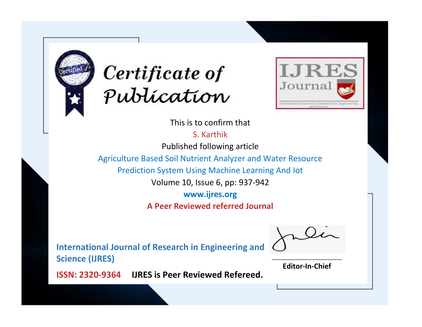



This is to confirm that

S. Karthik

Published following article

Agriculture Based Soil Nutrient Analyzer and Water Resource

Prediction System Using Machine Learning And Iot

Volume 10, Issue 6, pp: 937-942

**www.ijres.org**

**A Peer Reviewed referred Journal**

**International Journal of Research in Engineering and Science (IJRES)**

\_\_\_\_\_\_\_\_\_\_\_\_\_\_\_\_\_\_\_\_\_\_\_\_ **Editor-In-Chief**

**Journal.**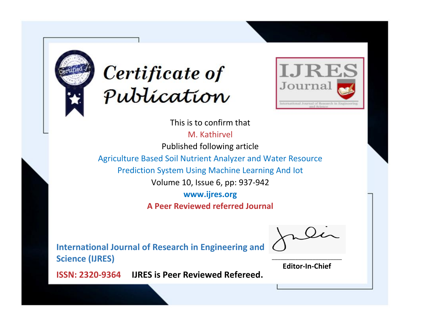



This is to confirm that

M. Kathirvel

Published following article

Agriculture Based Soil Nutrient Analyzer and Water Resource

Prediction System Using Machine Learning And Iot

Volume 10, Issue 6, pp: 937-942

**www.ijres.org**

**A Peer Reviewed referred Journal**

**International Journal of Research in Engineering and Science (IJRES)**

\_\_\_\_\_\_\_\_\_\_\_\_\_\_\_\_\_\_\_\_\_\_\_\_ **Editor-In-Chief**

**Journal.**